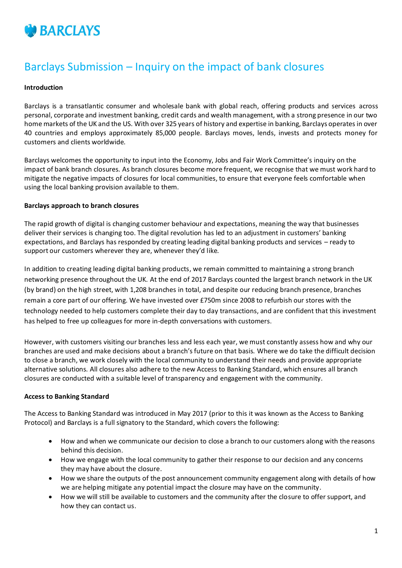

# Barclays Submission – Inquiry on the impact of bank closures

#### **Introduction**

Barclays is a transatlantic consumer and wholesale bank with global reach, offering products and services across personal, corporate and investment banking, credit cards and wealth management, with a strong presence in our two home markets of the UK and the US. With over 325 years of history and expertise in banking, Barclays operates in over 40 countries and employs approximately 85,000 people. Barclays moves, lends, invests and protects money for customers and clients worldwide.

Barclays welcomes the opportunity to input into the Economy, Jobs and Fair Work Committee's inquiry on the impact of bank branch closures. As branch closures become more frequent, we recognise that we must work hard to mitigate the negative impacts of closures for local communities, to ensure that everyone feels comfortable when using the local banking provision available to them.

#### **Barclays approach to branch closures**

The rapid growth of digital is changing customer behaviour and expectations, meaning the way that businesses deliver their services is changing too. The digital revolution has led to an adjustment in customers' banking expectations, and Barclays has responded by creating leading digital banking products and services – ready to support our customers wherever they are, whenever they'd like.

In addition to creating leading digital banking products, we remain committed to maintaining a strong branch networking presence throughout the UK. At the end of 2017 Barclays counted the largest branch network in the UK (by brand) on the high street, with 1,208 branches in total, and despite our reducing branch presence, branches remain a core part of our offering. We have invested over £750m since 2008 to refurbish our stores with the technology needed to help customers complete their day to day transactions, and are confident that this investment has helped to free up colleagues for more in-depth conversations with customers.

However, with customers visiting our branches less and less each year, we must constantly assess how and why our branches are used and make decisions about a branch's future on that basis. Where we do take the difficult decision to close a branch, we work closely with the local community to understand their needs and provide appropriate alternative solutions. All closures also adhere to the new Access to Banking Standard, which ensures all branch closures are conducted with a suitable level of transparency and engagement with the community.

#### **Access to Banking Standard**

The Access to Banking Standard was introduced in May 2017 (prior to this it was known as the Access to Banking Protocol) and Barclays is a full signatory to the Standard, which covers the following:

- How and when we communicate our decision to close a branch to our customers along with the reasons behind this decision.
- How we engage with the local community to gather their response to our decision and any concerns they may have about the closure.
- How we share the outputs of the post announcement community engagement along with details of how we are helping mitigate any potential impact the closure may have on the community.
- How we will still be available to customers and the community after the closure to offer support, and how they can contact us.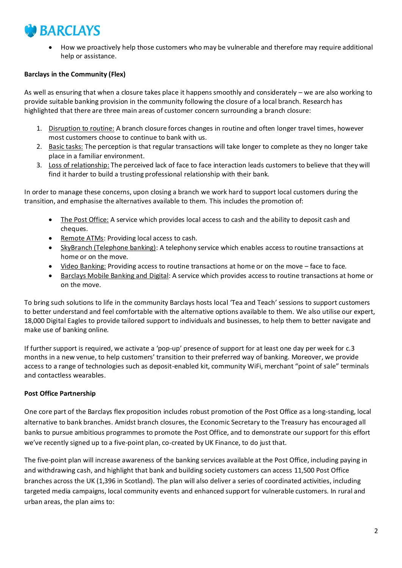# **BARCLAYS**

 How we proactively help those customers who may be vulnerable and therefore may require additional help or assistance.

# **Barclays in the Community (Flex)**

As well as ensuring that when a closure takes place it happens smoothly and considerately – we are also working to provide suitable banking provision in the community following the closure of a local branch. Research has highlighted that there are three main areas of customer concern surrounding a branch closure:

- 1. Disruption to routine: A branch closure forces changes in routine and often longer travel times, however most customers choose to continue to bank with us.
- 2. Basic tasks: The perception is that regular transactions will take longer to complete as they no longer take place in a familiar environment.
- 3. Loss of relationship: The perceived lack of face to face interaction leads customers to believe that they will find it harder to build a trusting professional relationship with their bank.

In order to manage these concerns, upon closing a branch we work hard to support local customers during the transition, and emphasise the alternatives available to them. This includes the promotion of:

- The Post Office: A service which provides local access to cash and the ability to deposit cash and cheques.
- Remote ATMs: Providing local access to cash.
- SkyBranch (Telephone banking): A telephony service which enables access to routine transactions at home or on the move.
- Video Banking: Providing access to routine transactions at home or on the move face to face.
- **Barclays Mobile Banking and Digital:** A service which provides access to routine transactions at home or on the move.

To bring such solutions to life in the community Barclays hosts local 'Tea and Teach' sessions to support customers to better understand and feel comfortable with the alternative options available to them. We also utilise our expert, 18,000 Digital Eagles to provide tailored support to individuals and businesses, to help them to better navigate and make use of banking online.

If further support is required, we activate a 'pop-up' presence of support for at least one day per week for c.3 months in a new venue, to help customers' transition to their preferred way of banking. Moreover, we provide access to a range of technologies such as deposit-enabled kit, community WiFi, merchant "point of sale" terminals and contactless wearables.

## **Post Office Partnership**

One core part of the Barclays flex proposition includes robust promotion of the Post Office as a long-standing, local alternative to bank branches. Amidst branch closures, the Economic Secretary to the Treasury has encouraged all banks to pursue ambitious programmes to promote the Post Office, and to demonstrate our support for this effort we've recently signed up to a five-point plan, co-created by UK Finance, to do just that.

The five-point plan will increase awareness of the banking services available at the Post Office, including paying in and withdrawing cash, and highlight that bank and building society customers can access 11,500 Post Office branches across the UK (1,396 in Scotland). The plan will also deliver a series of coordinated activities, including targeted media campaigns, local community events and enhanced support for vulnerable customers. In rural and urban areas, the plan aims to: